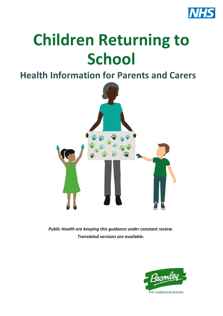

# **Children Returning to School**

#### **Health Information for Parents and Carers**



*Public Health are keeping this guidance under constant review. Translated versions are available.*

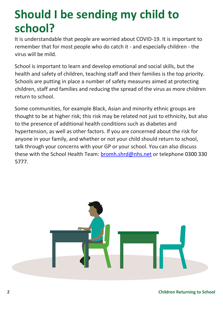### **Should I be sending my child to school?**

It is understandable that people are worried about COVID-19. It is important to remember that for most people who do catch it - and especially children - the virus will be mild.

School is important to learn and develop emotional and social skills, but the health and safety of children, teaching staff and their families is the top priority. Schools are putting in place a number of safety measures aimed at protecting children, staff and families and reducing the spread of the virus as more children return to school.

Some communities, for example Black, Asian and minority ethnic groups are thought to be at higher risk; this risk may be related not just to ethnicity, but also to the presence of additional health conditions such as diabetes and hypertension, as well as other factors. If you are concerned about the risk for anyone in your family, and whether or not your child should return to school, talk through your concerns with your GP or your school. You can also discuss these with the School Health Team[: bromh.shrd@nhs.net](mailto:bromh.shrd@nhs.net) or telephone 0300 330 5777.



**2 Children Returning to School**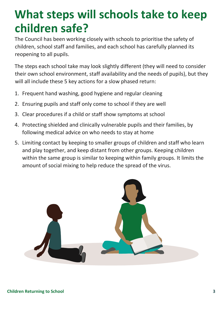### **What steps will schools take to keep children safe?**

The Council has been working closely with schools to prioritise the safety of children, school staff and families, and each school has carefully planned its reopening to all pupils.

The steps each school take may look slightly different (they will need to consider their own school environment, staff availability and the needs of pupils), but they will all include these 5 key actions for a slow phased return:

- 1. Frequent hand washing, good hygiene and regular cleaning
- 2. Ensuring pupils and staff only come to school if they are well
- 3. Clear procedures if a child or staff show symptoms at school
- 4. Protecting shielded and clinically vulnerable pupils and their families, by following medical advice on who needs to stay at home
- 5. Limiting contact by keeping to smaller groups of children and staff who learn and play together, and keep distant from other groups. Keeping children within the same group is similar to keeping within family groups. It limits the amount of social mixing to help reduce the spread of the virus.

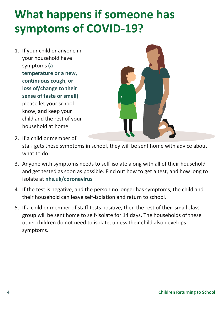## **What happens if someone has symptoms of COVID-19?**

1. If your child or anyone in your household have symptoms **(a temperature or a new, continuous cough, or loss of/change to their sense of taste or smell)** please let your school know, and keep your child and the rest of your household at home.



- 2. If a child or member of staff gets these symptoms in school, they will be sent home with advice about what to do.
- 3. Anyone with symptoms needs to self-isolate along with all of their household and get tested as soon as possible. Find out how to get a test, and how long to isolate at **[nhs.uk/coronavirus](http://nhs.uk/coronavirus)**
- 4. If the test is negative, and the person no longer has symptoms, the child and their household can leave self-isolation and return to school.
- 5. If a child or member of staff tests positive, then the rest of their small class group will be sent home to self-isolate for 14 days. The households of these other children do not need to isolate, unless their child also develops symptoms.